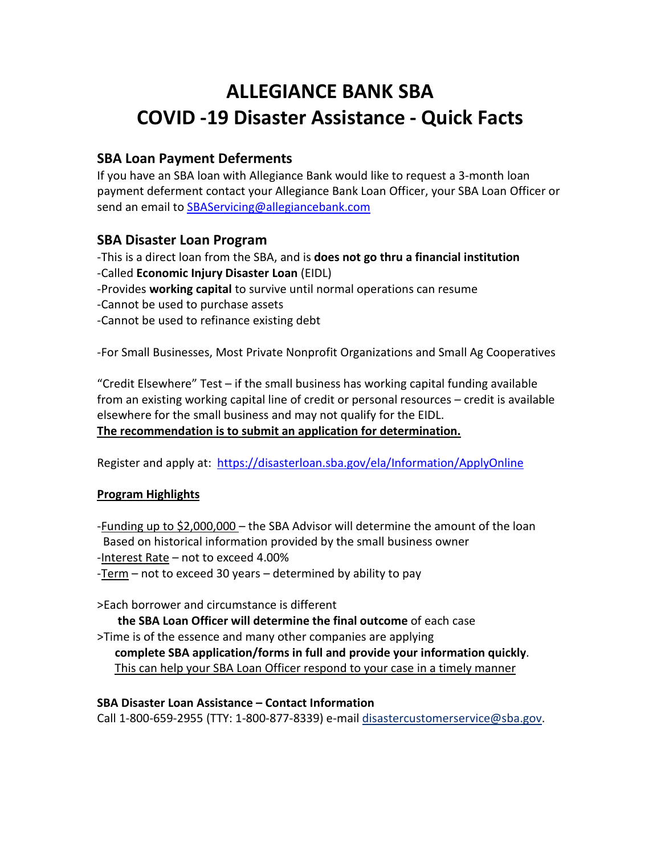# **ALLEGIANCE BANK SBA COVID -19 Disaster Assistance - Quick Facts**

# **SBA Loan Payment Deferments**

If you have an SBA loan with Allegiance Bank would like to request a 3-month loan payment deferment contact your Allegiance Bank Loan Officer, your SBA Loan Officer or send an email to **SBAServicing@allegiancebank.com** 

### **SBA Disaster Loan Program**

-This is a direct loan from the SBA, and is **does not go thru a financial institution** -Called **Economic Injury Disaster Loan** (EIDL) -Provides **working capital** to survive until normal operations can resume -Cannot be used to purchase assets -Cannot be used to refinance existing debt

-For Small Businesses, Most Private Nonprofit Organizations and Small Ag Cooperatives

"Credit Elsewhere" Test – if the small business has working capital funding available from an existing working capital line of credit or personal resources – credit is available elsewhere for the small business and may not qualify for the EIDL. **The recommendation is to submit an application for determination.**

Register and apply at: <https://disasterloan.sba.gov/ela/Information/ApplyOnline>

### **Program Highlights**

-Funding up to \$2,000,000 – the SBA Advisor will determine the amount of the loan Based on historical information provided by the small business owner -Interest Rate – not to exceed 4.00% -Term – not to exceed 30 years – determined by ability to pay

>Each borrower and circumstance is different

 **the SBA Loan Officer will determine the final outcome** of each case >Time is of the essence and many other companies are applying **complete SBA application/forms in full and provide your information quickly**. This can help your SBA Loan Officer respond to your case in a timely manner

#### **SBA Disaster Loan Assistance – Contact Information**

Call 1-800-659-2955 (TTY: 1-800-877-8339) e-mail [disastercustomerservice@sba.gov.](mailto:disastercustomerservice@sba.gov)